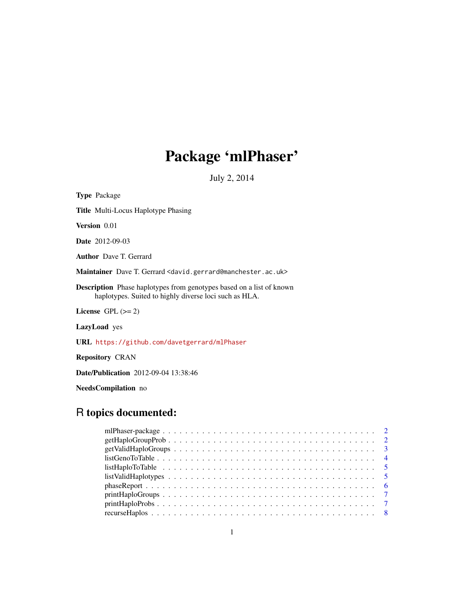## Package 'mlPhaser'

July 2, 2014

| <b>Type</b> Package                                                                                                                   |
|---------------------------------------------------------------------------------------------------------------------------------------|
| <b>Title Multi-Locus Haplotype Phasing</b>                                                                                            |
| Version 0.01                                                                                                                          |
| Date 2012-09-03                                                                                                                       |
| <b>Author</b> Dave T. Gerrard                                                                                                         |
| Maintainer Dave T. Gerrard <david.gerrard@manchester.ac.uk></david.gerrard@manchester.ac.uk>                                          |
| <b>Description</b> Phase haplotypes from genotypes based on a list of known<br>haplotypes. Suited to highly diverse loci such as HLA. |
| License $GPL (= 2)$                                                                                                                   |
| <b>LazyLoad</b> yes                                                                                                                   |
| URL https://github.com/davetgerrard/mlPhaser                                                                                          |
| <b>Repository CRAN</b>                                                                                                                |
| <b>Date/Publication</b> 2012-09-04 13:38:46                                                                                           |

NeedsCompilation no

## R topics documented:

| $getValidHaploGroups \ldots \ldots \ldots \ldots \ldots \ldots \ldots \ldots \ldots \ldots \ldots 3$                        |
|-----------------------------------------------------------------------------------------------------------------------------|
| $listGenoToTable \ldots \ldots \ldots \ldots \ldots \ldots \ldots \ldots \ldots \ldots \ldots \ldots \ldots$                |
|                                                                                                                             |
| $listValidHaplotypes \dots \dots \dots \dots \dots \dots \dots \dots \dots \dots \dots \dots \dots \dots \dots \dots \dots$ |
| $phase Report \dots \dots \dots \dots \dots \dots \dots \dots \dots \dots \dots \dots \dots \dots \dots \dots \dots \dots$  |
| $printHaploGroups \ldots \ldots \ldots \ldots \ldots \ldots \ldots \ldots \ldots \ldots \ldots \ldots \ldots 7$             |
| $printHaploProbs \ldots \ldots \ldots \ldots \ldots \ldots \ldots \ldots \ldots \ldots \ldots \ldots \ldots 7$              |
|                                                                                                                             |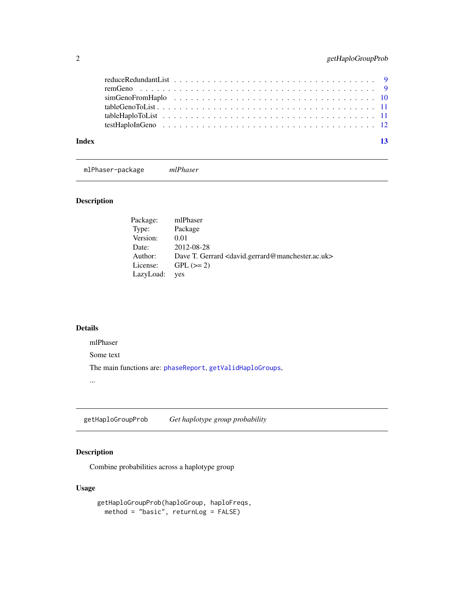<span id="page-1-0"></span>

| Index | $\overline{13}$ |
|-------|-----------------|
|       |                 |

mlPhaser-package *mlPhaser*

## Description

| Package:  | mlPhaser                                                                          |
|-----------|-----------------------------------------------------------------------------------|
| Type:     | Package                                                                           |
| Version:  | 0.01                                                                              |
| Date:     | 2012-08-28                                                                        |
| Author:   | Dave T. Gerrard <david.gerrard@manchester.ac.uk></david.gerrard@manchester.ac.uk> |
| License:  | $GPL (=2)$                                                                        |
| LazyLoad: | yes                                                                               |

## Details

mlPhaser

Some text

The main functions are: [phaseReport](#page-5-1), [getValidHaploGroups](#page-2-1),

...

getHaploGroupProb *Get haplotype group probability*

## Description

Combine probabilities across a haplotype group

## Usage

```
getHaploGroupProb(haploGroup, haploFreqs,
 method = "basic", returnLog = FALSE)
```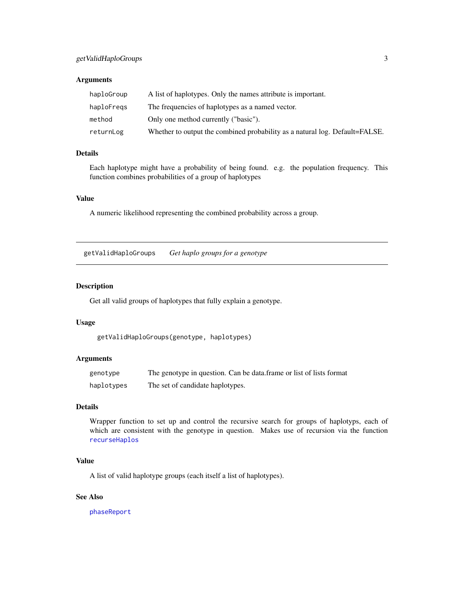## <span id="page-2-0"></span>getValidHaploGroups 3

## Arguments

| haploGroup | A list of haplotypes. Only the names attribute is important.                |
|------------|-----------------------------------------------------------------------------|
| haploFregs | The frequencies of haplotypes as a named vector.                            |
| method     | Only one method currently ("basic").                                        |
| returnLog  | Whether to output the combined probability as a natural log. Default=FALSE. |

## Details

Each haplotype might have a probability of being found. e.g. the population frequency. This function combines probabilities of a group of haplotypes

## Value

A numeric likelihood representing the combined probability across a group.

<span id="page-2-1"></span>getValidHaploGroups *Get haplo groups for a genotype*

#### Description

Get all valid groups of haplotypes that fully explain a genotype.

## Usage

getValidHaploGroups(genotype, haplotypes)

## Arguments

| genotype   | The genotype in question. Can be data frame or list of lists format |
|------------|---------------------------------------------------------------------|
| haplotypes | The set of candidate haplotypes.                                    |

## Details

Wrapper function to set up and control the recursive search for groups of haplotyps, each of which are consistent with the genotype in question. Makes use of recursion via the function [recurseHaplos](#page-7-1)

## Value

A list of valid haplotype groups (each itself a list of haplotypes).

## See Also

[phaseReport](#page-5-1)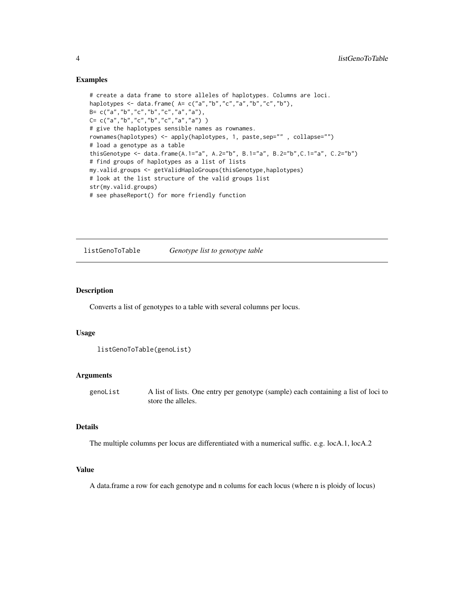#### Examples

```
# create a data frame to store alleles of haplotypes. Columns are loci.
haplotypes <- data.frame( A= c("a","b","c","a","b","c","b"),
B= c("a","b","c","b","c","a","a"),
C= c("a","b","c","b","c","a","a") )
# give the haplotypes sensible names as rownames.
rownames(haplotypes) <- apply(haplotypes, 1, paste,sep="" , collapse="")
# load a genotype as a table
thisGenotype <- data.frame(A.1="a", A.2="b", B.1="a", B.2="b",C.1="a", C.2="b")
# find groups of haplotypes as a list of lists
my.valid.groups <- getValidHaploGroups(thisGenotype,haplotypes)
# look at the list structure of the valid groups list
str(my.valid.groups)
# see phaseReport() for more friendly function
```
listGenoToTable *Genotype list to genotype table*

#### Description

Converts a list of genotypes to a table with several columns per locus.

#### Usage

```
listGenoToTable(genoList)
```
#### Arguments

genoList A list of lists. One entry per genotype (sample) each containing a list of loci to store the alleles.

## Details

The multiple columns per locus are differentiated with a numerical suffic. e.g. locA.1, locA.2

#### Value

A data.frame a row for each genotype and n colums for each locus (where n is ploidy of locus)

<span id="page-3-0"></span>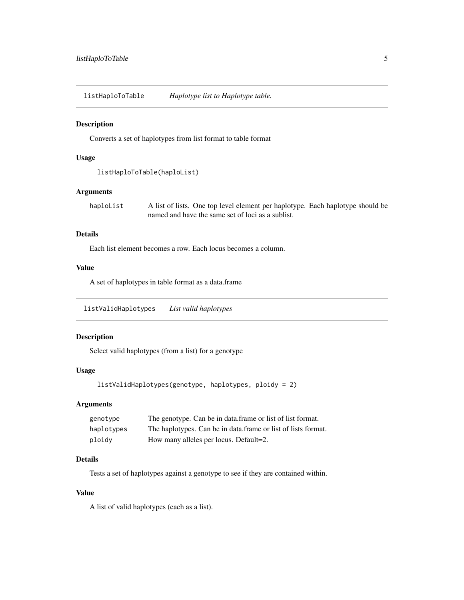<span id="page-4-0"></span>listHaploToTable *Haplotype list to Haplotype table.*

#### Description

Converts a set of haplotypes from list format to table format

## Usage

```
listHaploToTable(haploList)
```
## Arguments

haploList A list of lists. One top level element per haplotype. Each haplotype should be named and have the same set of loci as a sublist.

## Details

Each list element becomes a row. Each locus becomes a column.

#### Value

A set of haplotypes in table format as a data.frame

listValidHaplotypes *List valid haplotypes*

## Description

Select valid haplotypes (from a list) for a genotype

## Usage

```
listValidHaplotypes(genotype, haplotypes, ploidy = 2)
```
## Arguments

| genotype   | The genotype. Can be in data frame or list of list format.    |
|------------|---------------------------------------------------------------|
| haplotypes | The haplotypes. Can be in data frame or list of lists format. |
| ploidy     | How many alleles per locus. Default=2.                        |

## Details

Tests a set of haplotypes against a genotype to see if they are contained within.

## Value

A list of valid haplotypes (each as a list).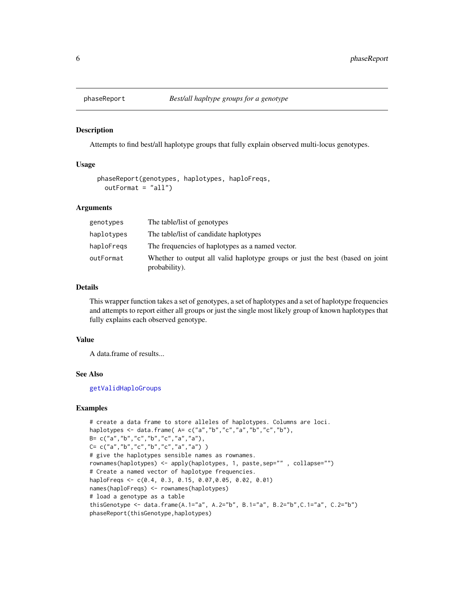<span id="page-5-1"></span><span id="page-5-0"></span>

#### Description

Attempts to find best/all haplotype groups that fully explain observed multi-locus genotypes.

#### Usage

```
phaseReport(genotypes, haplotypes, haploFreqs,
  outFormat = "all")
```
### Arguments

| genotypes  | The table/list of genotypes                                                                    |
|------------|------------------------------------------------------------------------------------------------|
| haplotypes | The table/list of candidate haplotypes                                                         |
| haploFregs | The frequencies of haplotypes as a named vector.                                               |
| outFormat  | Whether to output all valid haplotype groups or just the best (based on joint<br>probability). |

## Details

This wrapper function takes a set of genotypes, a set of haplotypes and a set of haplotype frequencies and attempts to report either all groups or just the single most likely group of known haplotypes that fully explains each observed genotype.

#### Value

A data.frame of results...

#### See Also

[getValidHaploGroups](#page-2-1)

## Examples

```
# create a data frame to store alleles of haplotypes. Columns are loci.
haplotypes \leq data.frame(A = c("a", "b", "c", "a", "b", "c", "b"),
B= c("a","b","c","b","c","a","a"),
C= c("a", "b", "c", "b", "c", "a", "a", "a")# give the haplotypes sensible names as rownames.
rownames(haplotypes) <- apply(haplotypes, 1, paste,sep="" , collapse="")
# Create a named vector of haplotype frequencies.
haploFreqs <- c(0.4, 0.3, 0.15, 0.07,0.05, 0.02, 0.01)
names(haploFreqs) <- rownames(haplotypes)
# load a genotype as a table
thisGenotype <- data.frame(A.1="a", A.2="b", B.1="a", B.2="b", C.1="a", C.2="b")
phaseReport(thisGenotype,haplotypes)
```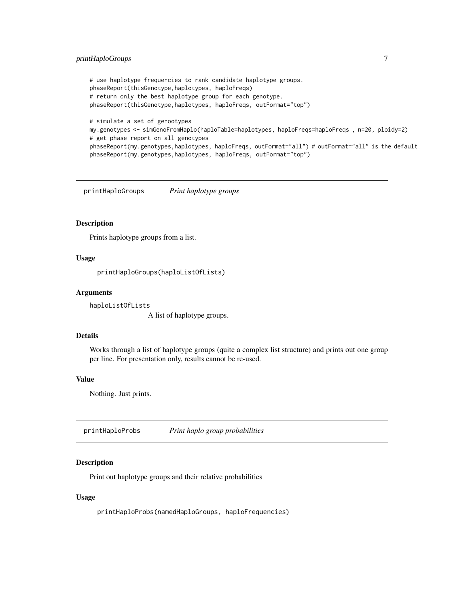## <span id="page-6-0"></span>printHaploGroups 7

```
# use haplotype frequencies to rank candidate haplotype groups.
phaseReport(thisGenotype,haplotypes, haploFreqs)
# return only the best haplotype group for each genotype.
phaseReport(thisGenotype,haplotypes, haploFreqs, outFormat="top")
# simulate a set of genootypes
my.genotypes <- simGenoFromHaplo(haploTable=haplotypes, haploFreqs=haploFreqs , n=20, ploidy=2)
# get phase report on all genotypes
phaseReport(my.genotypes,haplotypes, haploFreqs, outFormat="all") # outFormat="all" is the default
phaseReport(my.genotypes,haplotypes, haploFreqs, outFormat="top")
```
printHaploGroups *Print haplotype groups*

#### Description

Prints haplotype groups from a list.

#### Usage

printHaploGroups(haploListOfLists)

#### Arguments

haploListOfLists

A list of haplotype groups.

## Details

Works through a list of haplotype groups (quite a complex list structure) and prints out one group per line. For presentation only, results cannot be re-used.

## Value

Nothing. Just prints.

printHaploProbs *Print haplo group probabilities*

## Description

Print out haplotype groups and their relative probabilities

#### Usage

printHaploProbs(namedHaploGroups, haploFrequencies)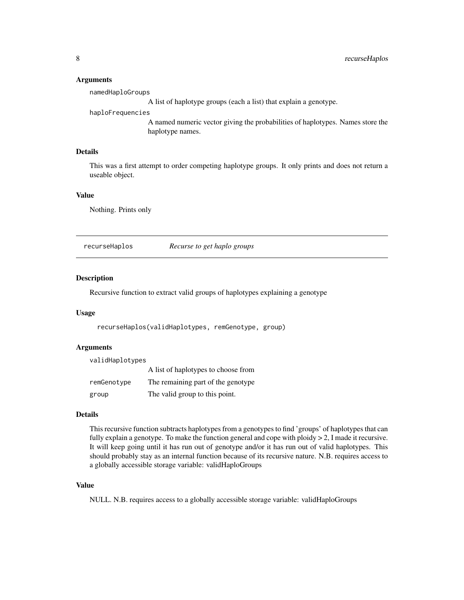#### **Arguments**

namedHaploGroups

A list of haplotype groups (each a list) that explain a genotype.

#### haploFrequencies

A named numeric vector giving the probabilities of haplotypes. Names store the haplotype names.

## Details

This was a first attempt to order competing haplotype groups. It only prints and does not return a useable object.

## Value

Nothing. Prints only

<span id="page-7-1"></span>recurseHaplos *Recurse to get haplo groups*

#### Description

Recursive function to extract valid groups of haplotypes explaining a genotype

## Usage

recurseHaplos(validHaplotypes, remGenotype, group)

#### **Arguments**

| validHaplotypes |                                     |
|-----------------|-------------------------------------|
|                 | A list of haplotypes to choose from |
| remGenotype     | The remaining part of the genotype  |
| group           | The valid group to this point.      |

### Details

This recursive function subtracts haplotypes from a genotypes to find 'groups' of haplotypes that can fully explain a genotype. To make the function general and cope with ploidy  $> 2$ , I made it recursive. It will keep going until it has run out of genotype and/or it has run out of valid haplotypes. This should probably stay as an internal function because of its recursive nature. N.B. requires access to a globally accessible storage variable: validHaploGroups

#### Value

NULL. N.B. requires access to a globally accessible storage variable: validHaploGroups

<span id="page-7-0"></span>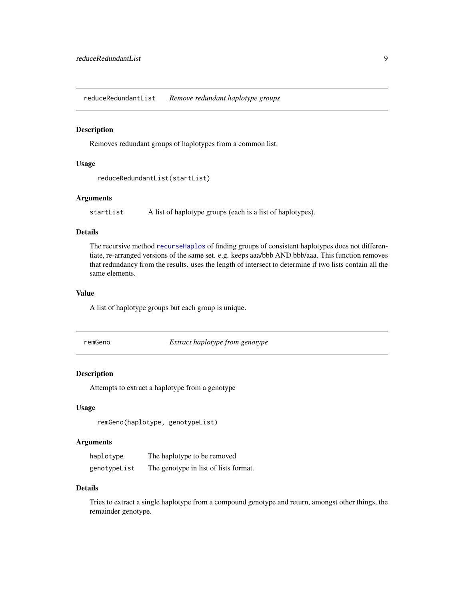<span id="page-8-0"></span>reduceRedundantList *Remove redundant haplotype groups*

## Description

Removes redundant groups of haplotypes from a common list.

#### Usage

```
reduceRedundantList(startList)
```
## Arguments

startList A list of haplotype groups (each is a list of haplotypes).

#### Details

The recursive method [recurseHaplos](#page-7-1) of finding groups of consistent haplotypes does not differentiate, re-arranged versions of the same set. e.g. keeps aaa/bbb AND bbb/aaa. This function removes that redundancy from the results. uses the length of intersect to determine if two lists contain all the same elements.

## Value

A list of haplotype groups but each group is unique.

remGeno *Extract haplotype from genotype*

#### Description

Attempts to extract a haplotype from a genotype

## Usage

```
remGeno(haplotype, genotypeList)
```
### Arguments

| haplotype    | The haplotype to be removed           |
|--------------|---------------------------------------|
| genotypeList | The genotype in list of lists format. |

## Details

Tries to extract a single haplotype from a compound genotype and return, amongst other things, the remainder genotype.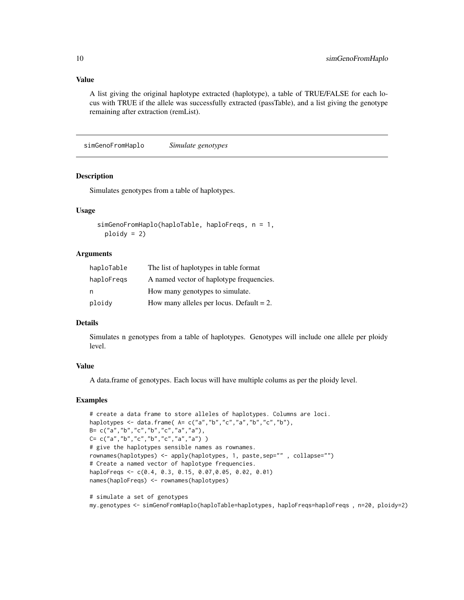## <span id="page-9-0"></span>Value

A list giving the original haplotype extracted (haplotype), a table of TRUE/FALSE for each locus with TRUE if the allele was successfully extracted (passTable), and a list giving the genotype remaining after extraction (remList).

simGenoFromHaplo *Simulate genotypes*

#### Description

Simulates genotypes from a table of haplotypes.

## Usage

```
simGenoFromHaplo(haploTable, haploFreqs, n = 1,
 ploidy = 2)
```
#### Arguments

| haploTable | The list of haplotypes in table format      |
|------------|---------------------------------------------|
| haploFregs | A named vector of haplotype frequencies.    |
| n          | How many genotypes to simulate.             |
| ploidy     | How many alleles per locus. Default $= 2$ . |

#### Details

Simulates n genotypes from a table of haplotypes. Genotypes will include one allele per ploidy level.

#### Value

A data.frame of genotypes. Each locus will have multiple colums as per the ploidy level.

#### Examples

```
# create a data frame to store alleles of haplotypes. Columns are loci.
haplotypes <- data.frame( A= c("a","b","c","a","b","c","b"),
B= c("a","b","c","b","c","a","a"),
C= c("a", "b", "c", "b", "c", "a", "a")# give the haplotypes sensible names as rownames.
rownames(haplotypes) <- apply(haplotypes, 1, paste,sep="" , collapse="")
# Create a named vector of haplotype frequencies.
haploFreqs <- c(0.4, 0.3, 0.15, 0.07,0.05, 0.02, 0.01)
names(haploFreqs) <- rownames(haplotypes)
# simulate a set of genotypes
```
my.genotypes <- simGenoFromHaplo(haploTable=haplotypes, haploFreqs=haploFreqs , n=20, ploidy=2)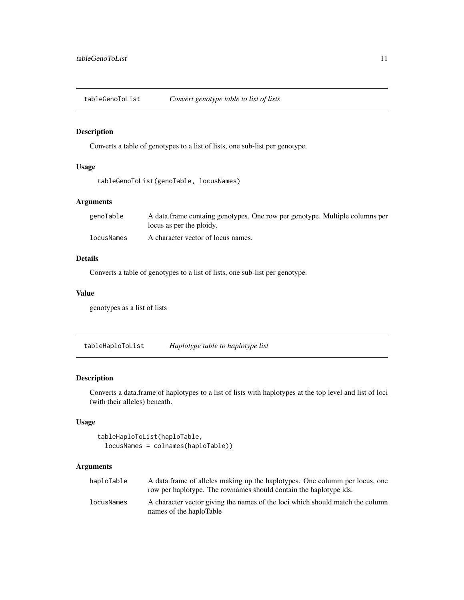<span id="page-10-0"></span>tableGenoToList *Convert genotype table to list of lists*

## Description

Converts a table of genotypes to a list of lists, one sub-list per genotype.

## Usage

```
tableGenoToList(genoTable, locusNames)
```
## Arguments

| genoTable  | A data frame containg genotypes. One row per genotype. Multiple columns per<br>locus as per the ploidy. |
|------------|---------------------------------------------------------------------------------------------------------|
| locusNames | A character vector of locus names.                                                                      |

## Details

Converts a table of genotypes to a list of lists, one sub-list per genotype.

## Value

genotypes as a list of lists

tableHaploToList *Haplotype table to haplotype list*

## Description

Converts a data.frame of haplotypes to a list of lists with haplotypes at the top level and list of loci (with their alleles) beneath.

## Usage

```
tableHaploToList(haploTable,
 locusNames = colnames(haploTable))
```
## Arguments

| haploTable | A data.frame of alleles making up the haplotypes. One column per locus, one<br>row per haplotype. The rownames should contain the haplotype ids. |
|------------|--------------------------------------------------------------------------------------------------------------------------------------------------|
| locusNames | A character vector giving the names of the loci which should match the column<br>names of the haploTable                                         |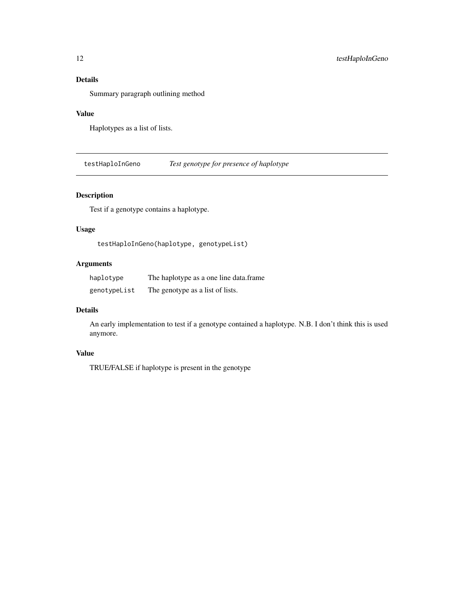## <span id="page-11-0"></span>Details

Summary paragraph outlining method

#### Value

Haplotypes as a list of lists.

testHaploInGeno *Test genotype for presence of haplotype*

## Description

Test if a genotype contains a haplotype.

## Usage

testHaploInGeno(haplotype, genotypeList)

## Arguments

| haplotype    | The haplotype as a one line data.frame |
|--------------|----------------------------------------|
| genotypeList | The genotype as a list of lists.       |

## Details

An early implementation to test if a genotype contained a haplotype. N.B. I don't think this is used anymore.

## Value

TRUE/FALSE if haplotype is present in the genotype